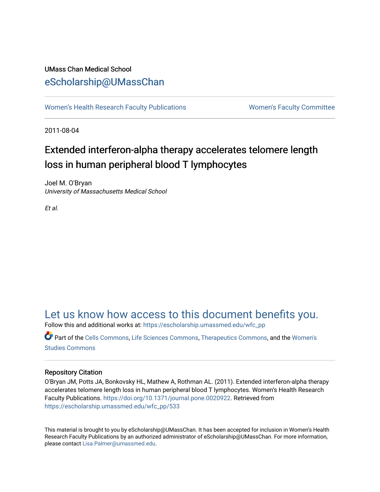# UMass Chan Medical School [eScholarship@UMassChan](https://escholarship.umassmed.edu/)

[Women's Health Research Faculty Publications](https://escholarship.umassmed.edu/wfc_pp) **Women's Faculty Committee** 

2011-08-04

# Extended interferon-alpha therapy accelerates telomere length loss in human peripheral blood T lymphocytes

Joel M. O'Bryan University of Massachusetts Medical School

Et al.

# [Let us know how access to this document benefits you.](https://arcsapps.umassmed.edu/redcap/surveys/?s=XWRHNF9EJE)

Follow this and additional works at: [https://escholarship.umassmed.edu/wfc\\_pp](https://escholarship.umassmed.edu/wfc_pp?utm_source=escholarship.umassmed.edu%2Fwfc_pp%2F533&utm_medium=PDF&utm_campaign=PDFCoverPages) 

Part of the [Cells Commons,](http://network.bepress.com/hgg/discipline/940?utm_source=escholarship.umassmed.edu%2Fwfc_pp%2F533&utm_medium=PDF&utm_campaign=PDFCoverPages) [Life Sciences Commons,](http://network.bepress.com/hgg/discipline/1016?utm_source=escholarship.umassmed.edu%2Fwfc_pp%2F533&utm_medium=PDF&utm_campaign=PDFCoverPages) [Therapeutics Commons,](http://network.bepress.com/hgg/discipline/993?utm_source=escholarship.umassmed.edu%2Fwfc_pp%2F533&utm_medium=PDF&utm_campaign=PDFCoverPages) and the [Women's](http://network.bepress.com/hgg/discipline/561?utm_source=escholarship.umassmed.edu%2Fwfc_pp%2F533&utm_medium=PDF&utm_campaign=PDFCoverPages)  [Studies Commons](http://network.bepress.com/hgg/discipline/561?utm_source=escholarship.umassmed.edu%2Fwfc_pp%2F533&utm_medium=PDF&utm_campaign=PDFCoverPages) 

# Repository Citation

O'Bryan JM, Potts JA, Bonkovsky HL, Mathew A, Rothman AL. (2011). Extended interferon-alpha therapy accelerates telomere length loss in human peripheral blood T lymphocytes. Women's Health Research Faculty Publications. [https://doi.org/10.1371/journal.pone.0020922.](https://doi.org/10.1371/journal.pone.0020922) Retrieved from [https://escholarship.umassmed.edu/wfc\\_pp/533](https://escholarship.umassmed.edu/wfc_pp/533?utm_source=escholarship.umassmed.edu%2Fwfc_pp%2F533&utm_medium=PDF&utm_campaign=PDFCoverPages) 

This material is brought to you by eScholarship@UMassChan. It has been accepted for inclusion in Women's Health Research Faculty Publications by an authorized administrator of eScholarship@UMassChan. For more information, please contact [Lisa.Palmer@umassmed.edu](mailto:Lisa.Palmer@umassmed.edu).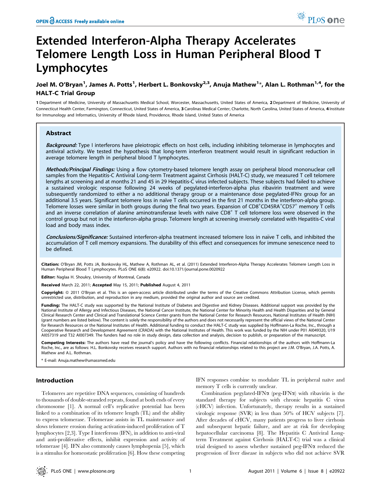# Extended Interferon-Alpha Therapy Accelerates Telomere Length Loss in Human Peripheral Blood T Lymphocytes

# Joel M. O'Bryan<sup>1</sup>, James A. Potts<sup>1</sup>, Herbert L. Bonkovsky<sup>2,3</sup>, Anuja Mathew<sup>1</sup>\*, Alan L. Rothman<sup>1,4</sup>, for the HALT-C Trial Group

1 Department of Medicine, University of Massachusetts Medical School, Worcester, Massachusetts, United States of America, 2 Department of Medicine, University of Connecticut Health Center, Farmington, Connecticut, United States of America, 3 Carolinas Medical Center, Charlotte, North Carolina, United States of America, 4 Institute for Immunology and Informatics, University of Rhode Island, Providence, Rhode Island, United States of America

## Abstract

Background: Type I interferons have pleiotropic effects on host cells, including inhibiting telomerase in lymphocytes and antiviral activity. We tested the hypothesis that long-term interferon treatment would result in significant reduction in average telomere length in peripheral blood T lymphocytes.

Methods/Principal Findings: Using a flow cytometry-based telomere length assay on peripheral blood mononuclear cell samples from the Hepatitis-C Antiviral Long-term Treatment against Cirrhosis (HALT-C) study, we measured T cell telomere lengths at screening and at months 21 and 45 in 29 Hepatitis-C virus infected subjects. These subjects had failed to achieve a sustained virologic response following 24 weeks of pegylated-interferon-alpha plus ribavirin treatment and were subsequently randomized to either a no additional therapy group or a maintenance dose pegylated-IFN $\alpha$  group for an additional 3.5 years. Significant telomere loss in naïve T cells occurred in the first 21 months in the interferon-alpha group. Telomere losses were similar in both groups during the final two years. Expansion of CD8+CD45RA+CD57+ memory T cells and an inverse correlation of alanine aminotransferase levels with naïve CD8<sup>+</sup> T cell telomere loss were observed in the control group but not in the interferon-alpha group. Telomere length at screening inversely correlated with Hepatitis-C viral load and body mass index.

Conclusions/Significance: Sustained interferon-alpha treatment increased telomere loss in naïve T cells, and inhibited the accumulation of T cell memory expansions. The durability of this effect and consequences for immune senescence need to be defined.

Citation: O'Bryan JM, Potts JA, Bonkovsky HL, Mathew A, Rothman AL, et al. (2011) Extended Interferon-Alpha Therapy Accelerates Telomere Length Loss in Human Peripheral Blood T Lymphocytes. PLoS ONE 6(8): e20922. doi:10.1371/journal.pone.0020922

Editor: Naglaa H. Shoukry, University of Montreal, Canada

Received March 22, 2011; Accepted May 15, 2011; Published August 4, 2011

Copyright: © 2011 O'Bryan et al. This is an open-access article distributed under the terms of the Creative Commons Attribution License, which permits unrestricted use, distribution, and reproduction in any medium, provided the original author and source are credited.

Funding: The HALT-C study was supported by the National Institute of Diabetes and Digestive and Kidney Diseases. Additional support was provided by the National Institute of Allergy and Infectious Diseases, the National Cancer Institute, the National Center for Minority Health and Health Disparities and by General Clinical Research Center and Clinical and Translational Science Center grants from the National Center for Research Resources, National Institutes of Health (NIH) (grant numbers are listed below). The content is solely the responsibility of the authors and does not necessarily represent the official views of the National Center for Research Resources or the National Institutes of Health. Additional funding to conduct the HALT-C study was supplied by Hoffmann-La Roche, Inc., through a Cooperative Research and Development Agreement (CRADA) with the National Institutes of Health. This work was funded by the NIH under P01 AI049320, U19 AI057319 and T32 AI007349. The funders had no role in study design, data collection and analysis, decision to publish, or preparation of the manuscript.

Competing Interests: The authors have read the journal's policy and have the following conflicts. Financial relationships of the authors with Hoffmann-La Roche, Inc., are as follows: H.L. Bonkovsky receives research support. Authors with no financial relationships related to this project are J.M. O'Bryan, J.A. Potts, A. Mathew and A.L. Rothman.

E-mail: Anuja.mathew@umassmed.edu

## Introduction

Telomeres are repetitive DNA sequences, consisting of hundreds to thousands of double-stranded repeats, found at both ends of every chromosome [1]. A normal cell's replicative potential has been linked to a combination of its telomere length (TL) and the ability to express telomerase. Telomerase assists in TL maintenance and slows telomere erosion during activation-induced proliferation of T lymphocytes [2,3]. Type I interferons (IFN), in addition to anti-viral and anti-proliferative effects, inhibit expression and activity of telomerase [4]. IFN also commonly causes lymphopenia [5], which is a stimulus for homeostatic proliferation [6]. How these competing

IFN responses combine to modulate TL in peripheral naïve and memory T cells is currently unclear.

Combination pegylated-IFN $\alpha$  (peg-IFN $\alpha$ ) with ribavirin is the standard therapy for subjects with chronic hepatitis C virus (cHCV) infection. Unfortunately, therapy results in a sustained virologic response (SVR) in less than 50% of HCV subjects [7]. After decades of cHCV, many patients progress to liver cirrhosis and subsequent hepatic failure, and are at risk for developing hepatocellular carcinoma [8]. The Hepatitis C Antiviral Longterm Treatment against Cirrhosis (HALT-C) trial was a clinical trial designed to assess whether sustained peg-IFN $\alpha$  reduced the progression of liver disease in subjects who did not achieve SVR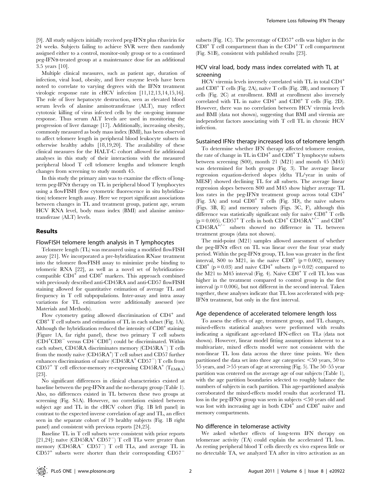[9]. All study subjects initially received peg-IFN $\alpha$  plus ribavirin for 24 weeks. Subjects failing to achieve SVR were then randomly assigned either to a control, monitor-only group or to a continued peg-IFNa-treated group at a maintenance dose for an additional 3.5 years [10].

Multiple clinical measures, such as patient age, duration of infection, viral load, obesity, and liver enzyme levels have been noted to correlate to varying degrees with the IFN $\alpha$  treatment virologic response rate in cHCV infection [11,12,13,14,15,16]. The role of liver hepatocyte destruction, seen as elevated blood serum levels of alanine aminotransferase (ALT), may reflect cytotoxic killing of virus infected cells by the on-going immune response. Thus serum ALT levels are used in monitoring the progression of liver damage [17]. Additionally, increasing obesity, commonly measured as body mass index (BMI), has been observed to affect telomere length in peripheral blood leukocyte subsets in otherwise healthy adults [18,19,20]. The availability of these clinical measures for the HALT-C cohort allowed for additional analyses in this study of their interactions with the measured peripheral blood T cell telomere lengths and telomere length changes from screening to study month 45.

In this study the primary aim was to examine the effects of longterm peg-IFN $\alpha$  therapy on TL in peripheral blood T lymphocytes using a flowFISH (flow cytometric fluorescence in situ hybridization) telomere length assay. Here we report significant associations between changes in TL and treatment group, patient age, serum HCV RNA level, body mass index (BMI) and alanine aminotransferase (ALT) levels.

### Results

#### FlowFISH telomere length analysis in T lymphocytes

Telomere length (TL) was measured using a modified flowFISH assay [21]. We incorporated a pre-hybridization RNase treatment into the telomere flowFISH assay to minimize probe binding to telomeric RNA [22], as well as a novel set of hybridizationcompatible  $CD4^+$  and  $CD8^+$  markers. This approach combined with previously described anti-CD45RA and anti-CD57 flowFISH staining allowed for quantitative estimation of average TL and frequency in T cell subpopulations. Inter-assay and intra assay variations for TL estimation were additionally assessed (see Materials and Methods).

Flow cytometry gating allowed discrimination of CD4<sup>+</sup> and CD8<sup>+</sup> T cell subsets and estimation of TL in each subset (Fig. 1A). Although the hybridization reduced the intensity of  $CD8<sup>+</sup>$  staining (Figure 1A, far right panel), these two primary T cell subsets  $\overline{(CD4+CD8^{-} \text{ versus } CD4-CD8^{+})}$  could be discriminated. Within each subset, CD45RA discriminates memory  $(CD45RA^-)$  T cells from the mostly naïve (CD45RA<sup>+</sup>) T cell subset and CD57 further enhances discrimination of naïve  $(CD45RA<sup>+</sup>CD57<sup>-</sup>)$  T cells from  $CD57^+$  T cell effector-memory re-expressing  $CD45RA^+$  (T<sub>EMRA</sub>) [23].

No significant differences in clinical characteristics existed at baseline between the peg-IFN $\alpha$  and the no-therapy group (Table 1). Also, no differences existed in TL between these two groups at screening (Fig. S1A). However, no correlation existed between subject age and TL in the cHCV cohort (Fig. 1B left panel) in contrast to the expected inverse correlation of age and TL, an effect seen in the separate cohort of 19 healthy subjects (Fig. 1B right panel) and consistent with previous reports [24,25].

Baseline TL in T cell subsets were consistent with prior reports [21,24]; naïve  $(CD45RA^+CD57^-)$  T cell TLs were greater than memory ( $CD45RA^ CD57^-$ ) T cell TLs, and average TL in  $CD57<sup>+</sup>$  subsets were shorter than their corresponding  $CD57<sup>+</sup>$ 

subsets (Fig. 1C). The percentage of  $CD57<sup>+</sup>$  cells was higher in the  $CD8<sup>+</sup>$  T cell compartment than in the  $CD4<sup>+</sup>$  T cell compartment (Fig. S1B), consistent with published results [23].

# HCV viral load, body mass index correlated with TL at screening

HCV viremia levels inversely correlated with TL in total CD4<sup>+</sup> and  $CD8<sup>+</sup>$  T cells (Fig. 2A), naïve T cells (Fig. 2B), and memory T cells (Fig. 2C) at enrollment. BMI at enrollment also inversely correlated with TL in naïve  $CD4^+$  and  $CD8^+$  T cells (Fig. 2D). However, there was no correlation between HCV viremia levels and BMI (data not shown), suggesting that BMI and viremia are independent factors associating with T cell TL in chronic HCV infection.

### Sustained IFN $\alpha$  therapy increased loss of telomere length

To determine whether IFN therapy affected telomere erosion, the rate of change in TL in  $CD4^+$  and  $CD8^+$  T lymphocyte subsets between screening (S00), month 21 (M21) and month 45 (M45) was determined for both groups (Fig. 3). The average linear regression equation-derived slopes (delta TL/year in units of MESF) showed declining TL for all subsets. The average linear regression slopes between S00 and M45 show higher average TL loss rates in the peg-IFN $\alpha$  treatment group across total  $CD4^+$ (Fig. 3A) and total  $CD8<sup>+</sup>$  T cells (Fig. 3D), the naïve subsets (Figs. 3B, E) and memory subsets (Figs. 3C, F), although this difference was statistically significant only for naïve  $CDB^+$  T cells (p = 0.005). CD57<sup>+</sup> T cells in both CD4<sup>+</sup> CD45RA<sup>+/-</sup> and CD8<sup>+</sup>  $\text{CD}45\text{RA}^{+/-}$  subsets showed no difference in TL between treatment groups (data not shown).

The mid-point (M21) samples allowed assessment of whether the peg-IFN $\alpha$  effect on TL was linear over the four year study period. Within the peg-IFN $\alpha$  group, TL loss was greater in the first interval, S00 to M21, in the naïve  $CD8^+$  (p = 0.002), memory  $CD8^+$  (p = 0.03) and naive  $CD4^+$  subsets (p = 0.02) compared to the M21 to M45 interval (Fig. 4). Naïve  $CD8<sup>+</sup>$  T cell TL loss was higher in the treatment compared to control group in the first interval  $(p = 0.006)$ , but not different in the second interval. Taken together, these analyses indicate that TL loss accelerated with peg-IFN $\alpha$  treatment, but only in the first interval.

#### Age dependence of accelerated telomere length loss

To assess the effects of age, treatment group, and TL changes, mixed-effects statistical analyses were performed with results indicating a significant age-related IFN-effect on TLs (data not shown). However, linear model fitting assumptions inherent to a multivariate, mixed effects model were not consistent with the non-linear TL loss data across the three time points. We then partitioned the data set into three age categories:  $\leq 50$  years, 50 to 55 years, and  $>$  55 years of age at screening (Fig. 5). The 50–55 year partition was centered on the average age of our subjects (Table 1), with the age partition boundaries selected to roughly balance the numbers of subjects in each partition. This age-partitioned analysis corroborated the mixed-effects model results that accelerated TL loss in the peg-IFN $\alpha$  group was seen in subjects  $\leq$ 50 years old and was lost with increasing age in both  $CD4^+$  and  $CD8^+$  naïve and memory compartments.

# No difference in telomerase activity

We asked whether effects of long-term IFN therapy on telomerase activity (TA) could explain the accelerated TL loss. As resting peripheral blood T cells directly ex vivo express little or no detectable TA, we analyzed TA after in vitro activation as an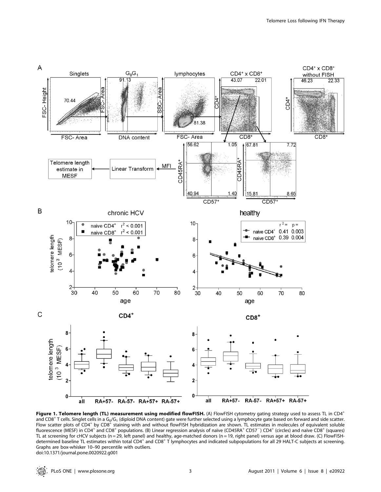

Figure 1. Telomere length (TL) measurement using modified flowFISH. (A) FlowFISH cytometry gating strategy used to assess TL in CD4<sup>+</sup> and CD8<sup>+</sup> T cells. Singlet cells in a G<sub>0</sub>/G<sub>1</sub> (diploid DNA content) gate were further selected using a lymphocyte gate based on forward and side scatter. Flow scatter plots of  $CD4^+$  by  $CD8^+$  staining with and without flowFISH hybridization are shown. TL estimates in molecules of equivalent soluble fluorescence (MESF) in CD4<sup>+</sup> and CD8<sup>+</sup> populations. (B) Linear regression analysis of naïve (CD45RA<sup>+</sup> CD57<sup>-</sup>) CD4<sup>+</sup> (circles) and naïve CD8<sup>+</sup> (squares) TL at screening for cHCV subjects (n = 29, left panel) and healthy, age-matched donors (n = 19, right panel) versus age at blood draw. (C) FlowFISHdetermined baseline TL estimates within total CD4<sup>+</sup> and CD8<sup>+</sup> T lymphocytes and indicated subpopulations for all 29 HALT-C subjects at screening. Graphs are box-whisker 10–90 percentile with outliers. doi:10.1371/journal.pone.0020922.g001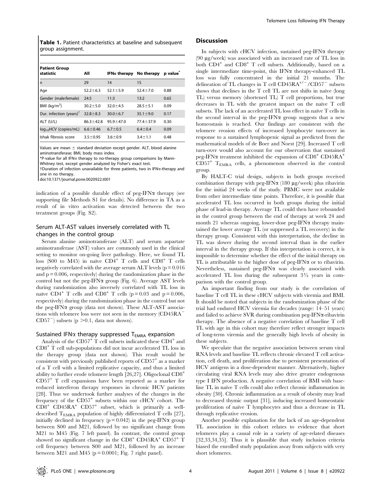Table 1. Patient characteristics at baseline and subsequent group assignment.

| <b>Patient Group</b><br>statistic   | All             | IFN $\alpha$ therapy | No therapy      | p value <sup>®</sup> |
|-------------------------------------|-----------------|----------------------|-----------------|----------------------|
| n                                   | 29              | 14                   | 15              |                      |
| Age                                 | $52.2 \pm 6.3$  | $52.1 \pm 5.9$       | $52.4 \pm 7.0$  | 0.88                 |
| Gender (male:female)                | 24:5            | 11:3                 | 13:2            | 0.65                 |
| BMI $(kq/m2)$                       | $30.2 \pm 5.0$  | $32.0 + 4.5$         | $28.5 \pm 5.1$  | 0.09                 |
| Dur. infection (years) <sup>†</sup> | $32.8 \pm 8.3$  | $30.0 \pm 6.7$       | $35.1 \pm 9.0$  | 0.17                 |
| ALT (U/L)                           | $86.3 \pm 42.8$ | $95.9 \pm 47.0$      | $77.4 \pm 37.9$ | 0.30                 |
| $log_{10}$ HCV (copies/mL)          | $6.6 \pm 0.46$  | $6.7 \pm 0.5$        | $6.4 \pm 0.4$   | 0.09                 |
| Ishak fibrosis score                | $3.5 \pm 0.95$  | $3.6 \pm 0.9$        | $3.4 \pm 1.1$   | 0.48                 |

Values are mean  $\pm$  standard deviation except gender. ALT, blood alanine aminotransferase; BMI, body mass index.

\*P-value for all IFNa therapy to no-therapy group comparisons by Mann-

Whitney test, except gender analyzed by Fisher's exact test.

{Duration of infection unavailable for three patients, two in IFNa-therapy and one in no therapy.

doi:10.1371/journal.pone.0020922.t001

indication of a possible durable effect of peg-IFN $\alpha$  therapy (see supporting file Methods S1 for details). No difference in TA as a result of in vitro activation was detected between the two treatment groups (Fig. S2).

# Serum ALT-AST values inversely correlated with TL changes in the control group

Serum alanine aminotransferase (ALT) and serum aspartate aminotransferase (AST) values are commonly used in the clinical setting to monitor on-going liver pathology. Here, we found TL loss (S00 to M45) in naïve  $CD4^+$  T cells and  $CD8^+$  T cells negatively correlated with the average serum ALT levels ( $p = 0.016$ ) and  $p = 0.006$ , respectively) during the randomization phase in the control but not the peg-IFN $\alpha$  group (Fig. 6). Average AST levels during randomization also inversely correlated with TL loss in naïve CD4<sup>+</sup> T cells and CD8<sup>+</sup> T cells (p = 0.03 and p = 0.006, respectively) during the randomization phase in the control but not the peg-IFN $\alpha$  group (data not shown). These ALT-AST associations with telomere loss were not seen in the memory (CD45RA<sup>-</sup>  $CD57^-$ ) subsets (p  $>0.1$ , data not shown).

#### Sustained IFN $\alpha$  therapy suppressed T<sub>EMRA</sub> expansion

Analysis of the  $CD57<sup>+</sup>$  T cell subsets indicated these  $CD4<sup>+</sup>$  and CD8<sup>+</sup> T cell sub-populations did not incur accelerated TL loss in the therapy group (data not shown). This result would be consistent with previously published reports of CD57<sup>+</sup> as a marker of a T cell with a limited replicative capacity, and thus a limited ability to further erode telomere length [26,27]. Oligoclonal CD8<sup>+</sup>  $CD57<sup>+</sup>$  T cell expansions have been reported as a marker for reduced interferon therapy responses in chronic HCV patients [28]. Thus we undertook further analyses of the changes in the frequency of the CD57<sup>+</sup> subsets within our cHCV cohort. The  $CD8^+$   $CD45RA^+$   $CD57^+$  subset, which is primarily a welldescribed  $T_{EMRA}$  population of highly differentiated T cells [27], initially declined in frequency ( $p = 0.042$ ) in the peg-IFN $\alpha$  group between S00 and M21, followed by no significant change from M21 to M45 (Fig. 7 left panel). In contrast, the control group showed no significant change in the  $CD8^+$  CD45RA<sup>+</sup> CD57<sup>+</sup> T cell frequency between S00 and M21, followed by an increase between M21 and M45 ( $p = 0.0001$ ; Fig. 7 right panel).

# **Discussion**

In subjects with cHCV infection, sustained peg-IFN $\alpha$  therapy (90 mg/week) was associated with an increased rate of TL loss in both CD4<sup>+</sup> and CD8<sup>+</sup> T cell subsets. Additionally, based on a single intermediate time-point, this IFN $\alpha$  therapy-enhanced TL loss was fully concentrated in the initial 21 months. The delineation of TL changes in T cell CD45RA<sup>+/-</sup>/CD57<sup>-</sup> subsets shows that declines in the  $T$  cell  $TL$  are not shifts in naïve (long TL) versus memory (shortened TL) T cell proportions, but true decreases in  $TL$  with the greatest impact on the naïve  $T$  cell subsets. The lack of an accelerated TL loss effect in naïve T cells in the second interval in the peg-IFN $\alpha$  group suggests that a new homeostasis is reached. Our findings are consistent with the telomere erosion effects of increased lymphocyte turn-over in response to a sustained lymphopenic signal as predicted from the mathematical models of de Boer and Noest [29]. Increased T cell turn-over would also account for our observation that sustained peg-IFN $\alpha$  treatment inhibited the expansion of CD8<sup>+</sup> CD45RA<sup>+</sup> CD57<sup>+</sup> TEMRA cells, a phenomenon observed in the control group.

By HALT-C trial design, subjects in both groups received combination therapy with peg-IFN $\alpha$  (180 µg/week) plus ribavirin for the initial 24 weeks of the study. PBMC were not available from other intermediate time points. Therefore, it is possible that accelerated TL loss occurred in both groups during the initial phase of lead-in therapy. Average TL could then have rebounded in the control group between the end of therapy at week 24 and month 21 whereas ongoing, lower-dose peg-IFN $\alpha$  therapy maintained the lower average TL (or suppressed a TL recovery) in the therapy group. Consistent with this interpretation, the decline in TL was slower during the second interval than in the earlier interval in the therapy group. If this interpretation is correct, it is impossible to determine whether the effect of the initial therapy on TL is attributable to the higher dose of peg-IFN $\alpha$  or to ribavirin. Nevertheless, sustained peg-IFN $\alpha$  was clearly associated with accelerated TL loss during the subsequent  $3\frac{1}{2}$  years in comparison with the control group.

An important finding from our study is the correlation of baseline T cell TL in these cHCV subjects with viremia and BMI. It should be noted that subjects in the randomization phase of the trial had endured HCV viremia for decades (range: 14–51 years) and failed to achieve SVR during combination peg-IFN $\alpha$ -ribavirin therapy. The absence of a negative correlation of baseline T cell TL with age in this cohort may therefore reflect stronger impacts of long-term viremia and the generally high levels of obesity in these subjects.

We speculate that the negative association between serum viral RNA levels and baseline TL reflects chronic elevated T cell activation, cell death, and proliferation due to persistent presentation of HCV antigens in a dose-dependent manner. Alternatively, higher circulating viral RNA levels may also drive greater endogenous type I IFN production. A negative correlation of BMI with baseline TL in naïve T cells could also reflect chronic inflammation in obesity [30]. Chronic inflammation as a result of obesity may lead to decreased thymic output [31], inducing increased homeostatic proliferation of naïve T lymphocytes and thus a decrease in TL through replicative erosion.

Another possible explanation for the lack of an age-dependent TL association in this cohort relates to evidence that short telomeres play a causal role in a variety of age-related diseases [32,33,34,35]. Thus it is plausible that study inclusion criteria biased the enrolled study population away from subjects with very short telomeres.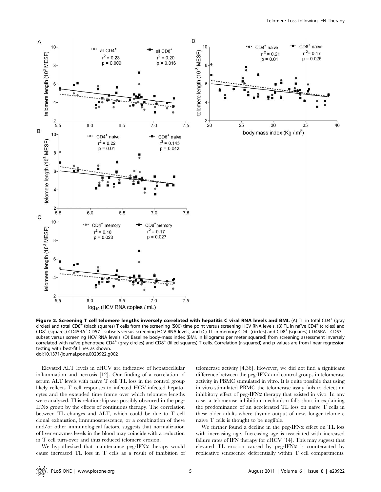

Figure 2. Screening T cell telomere lengths inversely correlated with hepatitis C viral RNA levels and BMI. (A) TL in total CD4<sup>+</sup> (gray circles) and total CD8<sup>+</sup> (black squares) T cells from the screening (S00) time point versus screening HCV RNA levels, (B) TL in naïve CD4<sup>+</sup> (circles) and CD8<sup>+</sup> (squares) CD45RA<sup>+</sup> CD57<sup>-</sup> subsets versus screening HCV RNA levels, and (C) TL in memory CD4<sup>+</sup> (circles) and CD8<sup>+</sup> (squares) CD45RA<sup>-</sup> CD57<sup>-</sup> subset versus screening HCV RNA levels. (D) Baseline body-mass index (BMI, in kilograms per meter squared) from screening assessment inversely correlated with naïve phenotype CD4<sup>+</sup> (gray circles) and CD8<sup>+</sup> (filled squares) T cells. Correlation (r-squared) and p values are from linear regression testing with best-fit lines as shown. doi:10.1371/journal.pone.0020922.g002

Elevated ALT levels in cHCV are indicative of hepatocellular inflammation and necrosis [12]. Our finding of a correlation of serum ALT levels with naïve T cell TL loss in the control group likely reflects T cell responses to infected HCV-infected hepatocytes and the extended time frame over which telomere lengths were analyzed. This relationship was possibly obscured in the peg-IFN $\alpha$  group by the effects of continuous therapy. The correlation between TL changes and ALT, which could be due to T cell clonal exhaustion, immunosenescence, or a combination of these and/or other immunological factors, suggests that normalization of liver enzymes levels in the blood may coincide with a reduction in T cell turn-over and thus reduced telomere erosion.

We hypothesized that maintenance peg-IFN $\alpha$  therapy would cause increased TL loss in T cells as a result of inhibition of telomerase activity [4,36]. However, we did not find a significant difference between the peg-IFN $\alpha$  and control groups in telomerase activity in PBMC stimulated in vitro. It is quite possible that using in vitro-stimulated PBMC the telomerase assay fails to detect an inhibitory effect of peg-IFN $\alpha$  therapy that existed in vivo. In any case, a telomerase inhibition mechanism falls short in explaining the predominance of an accelerated TL loss on naïve T cells in these older adults where thymic output of new, longer telomere naïve T cells is thought to be neglible.

We further found a decline in the peg-IFN $\alpha$  effect on TL loss with increasing age. Increasing age is associated with increased failure rates of IFN therapy for cHCV [14]. This may suggest that elevated TL erosion caused by peg-IFN $\alpha$  is counteracted by replicative senescence deferentially within T cell compartments.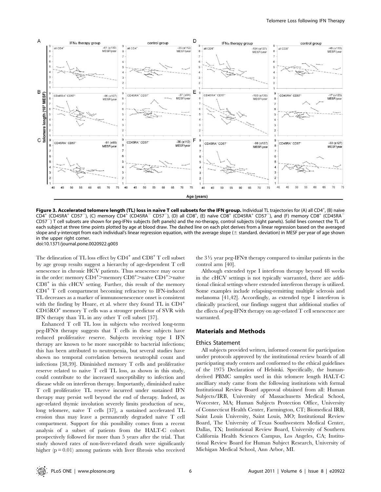

Figure 3. Accelerated telomere length (TL) loss in naïve T cell subsets for the IFN group. Individual TL trajectories for (A) all CD4<sup>+</sup>, (B) naïve CD4<sup>+</sup> (CD45RA<sup>+</sup> CD57<sup>-</sup>), (C) memory CD4<sup>+</sup> (CD45RA<sup>-</sup> CD57<sup>-</sup>), (D) all CD8<sup>+</sup>, (E) naïve CD8<sup>+</sup> (CD45RA<sup>+</sup> CD57<sup>-</sup>), and (F) memory CD8<sup>+</sup> (CD45RA<sup>-</sup>  $C$ D57<sup>-</sup>) T cell subsets are shown for peg-IFN $\alpha$  subjects (left panels) and the no-therapy, control subjects (right panels). Solid lines connect the TL of each subject at three time points plotted by age at blood draw. The dashed line on each plot derives from a linear regression based on the averaged slope and y-intercept from each individual's linear regression equation, with the average slope ( $\pm$  standard. deviation) in MESF per year of age shown in the upper right corner.

doi:10.1371/journal.pone.0020922.g003

The delineation of TL loss effect by  $CD4^+$  and  $CD8^+$  T cell subset by age group results suggest a hierarchy of age-dependent T cell senescence in chronic HCV patients. Thus senescence may occur in the order: memory  $CD4^+$ >memory  $CD8^+$ >naïve  $CD4^+$ >naïve  $CD8<sup>+</sup>$  in this cHCV setting. Further, this result of the memory CD4<sup>+</sup> T cell compartment becoming refractory to IFN-induced TL decreases as a marker of immunosenescence onset is consistent with the finding by Hoare, et al. where they found TL in CD4<sup>+</sup> CD45RO<sup>+</sup> memory T cells was a stronger predictor of SVR with IFN therapy than TL in any other T cell subset [37].

Enhanced T cell TL loss in subjects who received long-term  $peg-IFN\alpha$  therapy suggests that T cells in these subjects have reduced proliferative reserve. Subjects receiving type I IFN therapy are known to be more susceptible to bacterial infections; this has been attributed to neutropenia, but several studies have shown no temporal correlation between neutrophil count and infections [38,39]. Diminished memory T cells and proliferative reserve related to naïve  $T$  cell  $TL$  loss, as shown in this study, could contribute to the increased susceptibility to infection and disease while on interferon therapy. Importantly, diminished naive T cell proliferative TL reserve incurred under sustained IFN therapy may persist well beyond the end of therapy. Indeed, as age-related thymic involution severely limits production of new, long telomere, naïve T cells [37], a sustained accelerated TL erosion thus may leave a permanently degraded naïve T cell compartment. Support for this possibility comes from a recent analysis of a subset of patients from the HALT-C cohort prospectively followed for more than 5 years after the trial. That study showed rates of non-liver-related death were significantly higher  $(p = 0.01)$  among patients with liver fibrosis who received

the  $3\frac{1}{2}$  year peg-IFN $\alpha$  therapy compared to similar patients in the control arm [40].

Although extended type I interferon therapy beyond 48 weeks in the cHCV settings is not typically warranted, there are additional clinical settings where extended interferon therapy is utilized. Some examples include relapsing-remitting multiple sclerosis and melanoma [41,42]. Accordingly, as extended type I interferon is clinically practiced, our findings suggest that additional studies of the effects of peg-IFNa therapy on age-related T cell senescence are warranted.

# Materials and Methods

#### Ethics Statement

All subjects provided written, informed consent for participation under protocols approved by the institutional review boards of all participating study centers and conformed to the ethical guidelines of the 1975 Declaration of Helsinki. Specifically, the humanderived PBMC samples used in this telomere length HALT-C ancilliary study came from the following institutions with formal Institutional Review Board approval obtained from all: Human Subjects/IRB, University of Massachusetts Medical School, Worcester, MA; Human Subjects Protection Office, University of Connecticut Health Center, Farmington, CT; Biomedical IRB, Saint Louis University, Saint Louis, MO; Institutional Review Board, The University of Texas Southwestern Medical Center, Dallas, TX; Institutional Review Board, University of Southern California Health Sciences Campus, Los Angeles, CA; Institutional Review Board for Human Subject Research, University of Michigan Medical School, Ann Arbor, MI.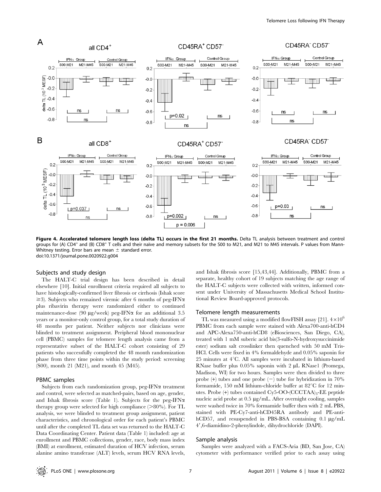

Figure 4. Accelerated telomere length loss (delta TL) occurs in the first 21 months. Delta TL analysis between treatment and control groups for (A) CD4<sup>+</sup> and (B) CD8<sup>+</sup> T cells and their naïve and memory subsets for the S00 to M21, and M21 to M45 intervals. P values from Mann-Whitney testing. Error bars are mean  $\pm$  standard error. doi:10.1371/journal.pone.0020922.g004

#### Subjects and study design

The HALT-C trial design has been described in detail elsewhere [10]. Initial enrollment criteria required all subjects to have histologically-confirmed liver fibrosis or cirrhosis (Ishak score  $\geq$ 3). Subjects who remained viremic after 6 months of peg-IFN $\alpha$ plus ribavirin therapy were randomized either to continued maintenance-dose (90  $\mu$ g/week) peg-IFN $\alpha$  for an additional 3.5 years or a monitor-only control group, for a total study duration of 48 months per patient. Neither subjects nor clinicians were blinded to treatment assignment. Peripheral blood mononuclear cell (PBMC) samples for telomere length analysis came from a representative subset of the HALT-C cohort consisting of 29 patients who successfully completed the 48 month randomization phase from three time points within the study period: screening (S00), month 21 (M21), and month 45 (M45).

#### PBMC samples

Subjects from each randomization group, peg-IFN $\alpha$  treatment and control, were selected as matched-pairs, based on age, gender, and Ishak fibrosis score (Table 1). Subjects for the peg-IFN $\alpha$ therapy group were selected for high compliance  $(>80\%)$ . For TL analysis, we were blinded to treatment group assignment, patient characteristics, and chronological order for each patient's PBMC until after the completed TL data set was returned to the HALT-C Data Coordinating Center. Patient data (Table 1) included: age at enrollment and PBMC collections, gender, race, body mass index (BMI) at enrollment, estimated duration of HCV infection, serum alanine amino transferase (ALT) levels, serum HCV RNA levels,

and Ishak fibrosis score [15,43,44]. Additionally, PBMC from a separate, healthy cohort of 19 subjects matching the age range of the HALT-C subjects were collected with written, informed consent under University of Massachusetts Medical School Institutional Review Board-approved protocols.

#### Telomere length measurements

TL was measured using a modified flowFISH assay [21].  $4 \times 10^6$ PBMC from each sample were stained with Alexa700-anti-hCD4 and APC-Alexa750-anti-hCD8 (eBiosciences, San Diego, CA), treated with 1 mM suberic acid bis(3-sulfo-N-hydroxysuccinimide ester) sodium salt crosslinker then quenched with 50 mM Tris-HCl. Cells were fixed in 4% formaldehyde and 0.05% saponin for  $25$  minutes at  $4^{\circ}$ C. All samples were incubated in lithium-based RNase buffer plus  $0.05\%$  saponin with 2  $\mu$ L RNase1 (Promega, Madison, WI) for two hours. Samples were then divided to three probe  $(+)$  tubes and one probe  $(-)$  tube for hybridization in 70% formamide, 150 mM lithium-chloride buffer at  $82^{\circ}$ C for 12 minutes. Probe  $(+)$  tubes contained Cy5-OO-(CCCTAA)<sub>3</sub>-EE peptide nucleic acid probe at 0.5 µg/mL. After overnight cooling, samples were washed twice in 70% formamide buffer then with 2 mL PBS, stained with PE-Cy7-anti-hCD45RA antibody and PE-antihCD57, and resuspended in PBS-BSA containing  $0.1 \mu g/mL$ 49,6-diamidino-2-phenylindole, dihydrochloride (DAPI).

#### Sample analysis

Samples were analyzed with a FACS-Aria (BD, San Jose, CA) cytometer with performance verified prior to each assay using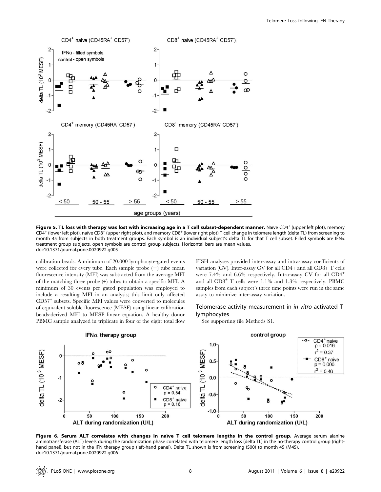

Figure 5. TL loss with therapy was lost with increasing age in a T cell subset-dependent manner. Naïve CD4<sup>+</sup> (upper left plot), memory  $CD4^+$  (lower left plot), naive  $CD8^+$  (upper right plot), and memory  $CD8^+$  (lower right plot) T cell change in telomere length (delta TL) from screening to month 45 from subjects in both treatment groups. Each symbol is an individual subject's delta TL for that T cell subset. Filled symbols are IFNa treatment group subjects, open symbols are control group subjects. Horizontal bars are mean values. doi:10.1371/journal.pone.0020922.g005

calibration beads. A minimum of 20,000 lymphocyte-gated events were collected for every tube. Each sample probe  $(-)$  tube mean fluorescence intensity (MFI) was subtracted from the average MFI of the matching three probe (+) tubes to obtain a specific MFI. A minimum of 30 events per gated population was employed to include a resulting MFI in an analysis; this limit only affected  $CD57<sup>+</sup>$  subsets. Specific MFI values were converted to molecules of equivalent soluble fluorescence (MESF) using linear calibration beads-derived MFI to MESF linear equation. A healthy donor PBMC sample analyzed in triplicate in four of the eight total flow FISH analyses provided inter-assay and intra-assay coefficients of variation (CV). Inter-assay CV for all CD4+ and all CD8+ T cells were 7.4% and 6.6% respectively. Intra-assay CV for all CD4<sup>+</sup> and all CD8<sup>+</sup> T cells were 1.1% and 1.3% respectively. PBMC samples from each subject's three time points were run in the same assay to minimize inter-assay variation.

# Telomerase activity measurement in in vitro activated T lymphocytes

See supporting file Methods S1.



Figure 6. Serum ALT correlates with changes in naïve T cell telomere lengths in the control group. Average serum alanine aminotransferase (ALT) levels during the randomization phase correlated with telomere length loss (delta TL) in the no-therapy control group (righthand panel), but not in the IFN therapy group (left-hand panel). Delta TL shown is from screening (S00) to month 45 (M45). doi:10.1371/journal.pone.0020922.g006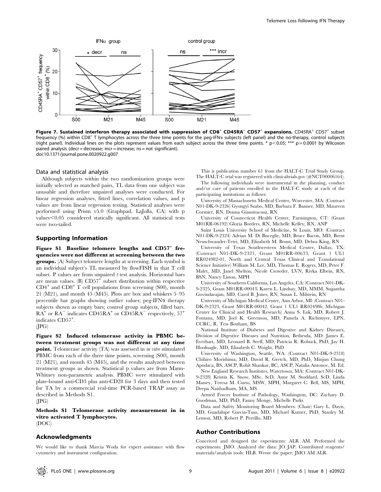

Figure 7. Sustained interferon therapy associated with suppression of CD8<sup>+</sup> CD45RA<sup>+</sup> CD57<sup>+</sup> expansions. CD45RA<sup>+</sup> CD57<sup>+</sup> subset frequency (%) within CD8<sup>+</sup> T lymphocytes across the three time points for the peg-IFN $\alpha$  subjects (left panel) and the no-therapy, control subjects (right panel). Individual lines on the plots represent values from each subject across the three time points. \*  $p<0.05$ ; \*\*\*  $p=0.0001$  by Wilcoxon paired analysis (decr = decrease; incr = increase; ns = not significant). doi:10.1371/journal.pone.0020922.g007

#### Data and statistical analysis

Although subjects within the two randomization groups were initially selected as matched pairs, TL data from one subject was unusable and therefore unpaired analyses were conducted. For linear regression analyses, fitted lines, correlation values, and p values are from linear regression testing. Statistical analyses were performed using Prism v5.0 (Graphpad, LaJolla, CA) with p  $values<0.05$  considered statically significant. All statistical tests were two-tailed.

### Supporting Information

Figure S1 Baseline telomere lengths and CD57<sup>+</sup> frequencies were not different at screening between the two groups. (A) Subject telomere lengths at screening. Each symbol is an individual subject's TL measured by flowFISH in that T cell subset. P values are from unpaired  $t$  test analysis. Horizontal bars are mean values. (B)  $CD57<sup>+</sup>$  subset distribution within respective  $CD4^+$  and  $CD8^+$  T cell populations from screening (S00), month 21 (M21), and month 45 (M45). Plots are box and whiskers 5–95 percentile bar graphs showing outlier values; peg-IFN $\alpha$  therapy subjects shown as empty bars; control group subjects, filled bars.  $RA^+$  or  $RA^-$  indicates CD45RA<sup>+</sup> or CD45RA<sup>-</sup> respectively, 57<sup>+</sup> indicates CD57<sup>+</sup> .

 $(IPG)$ 

Figure S2 Induced telomerase activity in PBMC between treatment groups was not different at any time **point.** Telomerase activity (TA) was assessed in *in vitro* stimulated PBMC from each of the three time points, screening (S00), month 21 (M21), and month 45 (M45), and the results analyzed between treatment groups as shown. Statistical p values are from Mann-Whitney non-parametric analysis. PBMC were stimulated with plate-bound anti-CD3 plus anti-CD28 for 3 days and then tested for TA by a commercial real-time PCR-based TRAP assay as described in Methods S1.  $(IPG)$ 

Methods S1 Telomerase activity measurement in in vitro activated T lymphocytes. (DOC)

# Acknowledgments

We would like to thank Marcia Woda for expert assistance with flow cytometry and instrument configuration.

This is publication number 61 from the HALT-C Trial Study Group. The HALT-C trial was registered with clinicaltrials.gov (#NCT00006164).

The following individuals were instrumental in the planning, conduct and/or care of patients enrolled in the HALT-C study at each of the participating institutions as follows:

University of Massachusetts Medical Center, Worcester, MA: (Contract N01-DK-9-2326) Gyongyi Szabo, MD, Barbara F. Banner, MD, Maureen Cormier, RN, Donna Giansiracusa, RN

University of Connecticut Health Center, Farmington, CT: (Grant M01RR-06192) Gloria Borders, RN, Michelle Kelley, RN, ANP

Saint Louis University School of Medicine, St Louis, MO: (Contract N01-DK-9-2324) Adrian M. Di Bisceglie, MD, Bruce Bacon, MD, Brent Neuschwander-Tetri, MD, Elizabeth M. Brunt, MD, Debra King, RN

University of Texas Southwestern Medical Center, Dallas, TX: (Contract N01-DK-9-2321, Grant M01RR-00633, Grant 1 UL1 RR024982-01, North and Central Texas Clinical and Translational Science Initiative) William M. Lee, MD, Thomas E. Rogers, MD, Peter F. Malet, MD, Janel Shelton, Nicole Crowder, LVN, Rivka Elbein, RN, BSN, Nancy Liston, MPH

University of Southern California, Los Angeles, CA: (Contract N01-DK-9-2325, Grant M01RR-00043) Karen L. Lindsay, MD, MMM, Sugantha Govindarajan, MD, Carol B. Jones, RN, Susan L. Milstein, RN

University of Michigan Medical Center, Ann Arbor, MI: (Contract N01- DK-9-2323, Grant M01RR-00042, Grant 1 UL1 RR024986, Michigan Center for Clinical and Health Research) Anna S. Lok, MD, Robert J. Fontana, MD, Joel K. Greenson, MD, Pamela A. Richtmyer, LPN, CCRC, R. Tess Bonham, BS

National Institute of Diabetes and Digestive and Kidney Diseases, Division of Digestive Diseases and Nutrition, Bethesda, MD: James E. Everhart, MD, Leonard B. Seeff, MD, Patricia R. Robuck, PhD, Jay H. Hoofnagle, MD, Elizabeth C. Wright, PhD

University of Washington, Seattle, WA: (Contract N01-DK-9-2318) Chihiro Morishima, MD, David R. Gretch, MD, PhD, Minjun Chung Apodaca, BS, ASCP, Rohit Shankar, BC, ASCP, Natalia Antonov, M. Ed.

New England Research Institutes, Watertown, MA: (Contract N01-DK-9-2328) Kristin K. Snow, MSc, ScD, Anne M. Stoddard, ScD, Linda Massey, Teresa M. Curto, MSW, MPH, Margaret C. Bell, MS, MPH, Deepa Naishadham, MA, MS

Armed Forces Institute of Pathology, Washington, DC: Zachary D. Goodman, MD, PhD, Fanny Monge, Michelle Parks

Data and Safety Monitoring Board Members: (Chair) Gary L. Davis, MD, Guadalupe Garcia-Tsao, MD, Michael Kutner, PhD, Stanley M. Lemon, MD, Robert P. Perrillo, MD

## Author Contributions

Conceived and designed the experiments: ALR AM. Performed the experiments: JMO. Analyzed the data: JO JAP. Contributed reagents/ materials/analysis tools: HLB. Wrote the paper: JMO AM ALR.